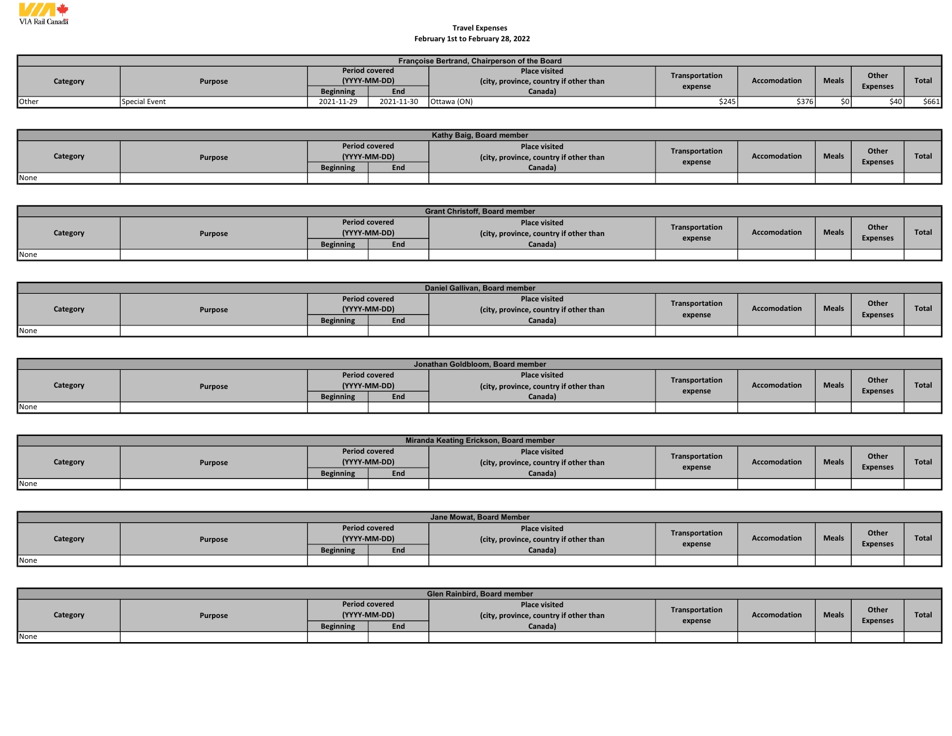

## Travel Expenses February 1st to February 28, 2022

|          | Françoise Bertrand, Chairperson of the Board |                                       |            |                                                                |                |                     |              |                 |        |  |  |  |
|----------|----------------------------------------------|---------------------------------------|------------|----------------------------------------------------------------|----------------|---------------------|--------------|-----------------|--------|--|--|--|
| Category | Purpose                                      | <b>Period covered</b><br>(YYYY-MM-DD) |            | <b>Place visited</b><br>(city, province, country if other than | Transportation | <b>Accomodation</b> | <b>Meals</b> | Other           | Total  |  |  |  |
|          |                                              | <b>Beginning</b>                      | End        | Canada)                                                        | expense        |                     |              | <b>Expenses</b> |        |  |  |  |
| Other    | Special Event                                | 2021-11-29                            | 2021-11-30 | Ottawa (ON)                                                    | \$245          | \$376               | sni.         | \$40            | \$661] |  |  |  |

|          | Kathy Baig, Board member |                                           |                     |                                                                           |                           |                     |              |                          |       |  |  |  |  |
|----------|--------------------------|-------------------------------------------|---------------------|---------------------------------------------------------------------------|---------------------------|---------------------|--------------|--------------------------|-------|--|--|--|--|
| Category | Purpose                  | <b>Period covered</b><br><b>Beginning</b> | (YYYY-MM-DD)<br>End | <b>Place visited</b><br>(city, province, country if other than<br>Canada) | Transportation<br>expense | <b>Accomodation</b> | <b>Meals</b> | Other<br><b>Expenses</b> | Total |  |  |  |  |
| None     |                          |                                           |                     |                                                                           |                           |                     |              |                          |       |  |  |  |  |

|          |         |                  |                                       | <b>Grant Christoff, Board member</b>                           |                |              |              |                          |              |
|----------|---------|------------------|---------------------------------------|----------------------------------------------------------------|----------------|--------------|--------------|--------------------------|--------------|
| Category | Purpose |                  | <b>Period covered</b><br>(YYYY-MM-DD) | <b>Place visited</b><br>(city, province, country if other than | Transportation | Accomodation | <b>Meals</b> | Other<br><b>Expenses</b> | <b>Total</b> |
|          |         | <b>Beginning</b> | End                                   | Canada)                                                        | expense        |              |              |                          |              |
| None     |         |                  |                                       |                                                                |                |              |              |                          |              |

|          | Daniel Gallivan, Board member |                  |                                       |                                                                |                |                     |              |                          |              |  |  |  |  |
|----------|-------------------------------|------------------|---------------------------------------|----------------------------------------------------------------|----------------|---------------------|--------------|--------------------------|--------------|--|--|--|--|
| Category | Purpose                       |                  | <b>Period covered</b><br>(YYYY-MM-DD) | <b>Place visited</b><br>(city, province, country if other than | Transportation | <b>Accomodation</b> | <b>Meals</b> | Other<br><b>Expenses</b> | <b>Total</b> |  |  |  |  |
|          |                               | <b>Beginning</b> | End                                   | Canada)                                                        | expense        |                     |              |                          |              |  |  |  |  |
| None     |                               |                  |                                       |                                                                |                |                     |              |                          |              |  |  |  |  |

|          | Jonathan Goldbloom, Board member |                  |                                       |                                                                |                |                     |              |                 |              |  |  |  |  |
|----------|----------------------------------|------------------|---------------------------------------|----------------------------------------------------------------|----------------|---------------------|--------------|-----------------|--------------|--|--|--|--|
| Category | Purpose                          |                  | <b>Period covered</b><br>(YYYY-MM-DD) | <b>Place visited</b><br>(city, province, country if other than | Transportation | <b>Accomodation</b> | <b>Meals</b> | Other           | <b>Total</b> |  |  |  |  |
|          |                                  | <b>Beginning</b> | End                                   | Canada)                                                        | expense        |                     |              | <b>Expenses</b> |              |  |  |  |  |
| None     |                                  |                  |                                       |                                                                |                |                     |              |                 |              |  |  |  |  |

|          |         |                                       |     | Miranda Keating Erickson, Board member                         |                |              |              |                          |              |
|----------|---------|---------------------------------------|-----|----------------------------------------------------------------|----------------|--------------|--------------|--------------------------|--------------|
| Category | Purpose | <b>Period covered</b><br>(YYYY-MM-DD) |     | <b>Place visited</b><br>(city, province, country if other than | Transportation | Accomodation | <b>Meals</b> | Other<br><b>Expenses</b> | <b>Total</b> |
|          |         | <b>Beginning</b>                      | End | Canada)                                                        | expense        |              |              |                          |              |
| None     |         |                                       |     |                                                                |                |              |              |                          |              |

|          | Jane Mowat, Board Member |                  |                                       |                                                               |                |              |              |                          |              |  |  |  |  |
|----------|--------------------------|------------------|---------------------------------------|---------------------------------------------------------------|----------------|--------------|--------------|--------------------------|--------------|--|--|--|--|
| Category | Purpose                  |                  | <b>Period covered</b><br>(YYYY-MM-DD) | <b>Place visited</b><br>city, province, country if other than | Transportation | Accomodation | <b>Meals</b> | Other<br><b>Expenses</b> | <b>Total</b> |  |  |  |  |
|          |                          | <b>Beginning</b> | End                                   | Canada)                                                       | expense        |              |              |                          |              |  |  |  |  |
| None     |                          |                  |                                       |                                                               |                |              |              |                          |              |  |  |  |  |

|          |         |                  |                                       | <b>Glen Rainbird, Board member</b>                             |                |              |              |                 |              |
|----------|---------|------------------|---------------------------------------|----------------------------------------------------------------|----------------|--------------|--------------|-----------------|--------------|
| Category | Purpose |                  | <b>Period covered</b><br>(YYYY-MM-DD) | <b>Place visited</b><br>(city, province, country if other than | Transportation | Accomodation | <b>Meals</b> | <b>Other</b>    | <b>Total</b> |
|          |         | <b>Beginning</b> | End                                   | Canada)                                                        | expense        |              |              | <b>Expenses</b> |              |
| None     |         |                  |                                       |                                                                |                |              |              |                 |              |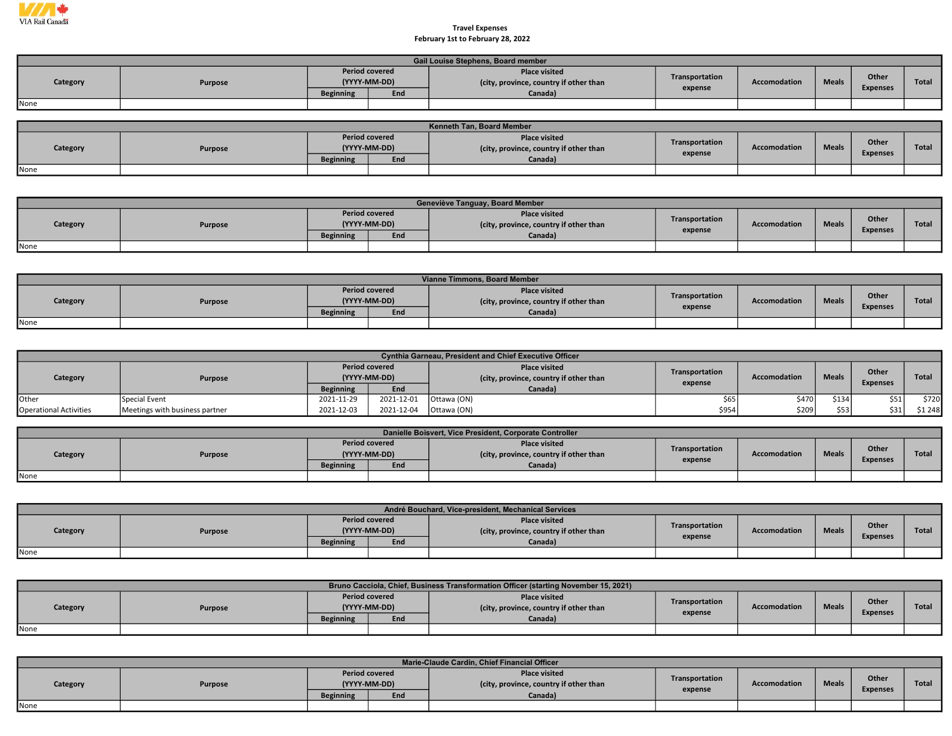

## Travel Expenses February 1st to February 28, 2022

| Gail Louise Stephens, Board member |         |                                       |     |                                                                |                |                     |              |                 |       |  |  |  |  |
|------------------------------------|---------|---------------------------------------|-----|----------------------------------------------------------------|----------------|---------------------|--------------|-----------------|-------|--|--|--|--|
| Category                           | Purpose | <b>Period covered</b><br>(YYYY-MM-DD) |     | <b>Place visited</b><br>(city, province, country if other than | Transportation | <b>Accomodation</b> | <b>Meals</b> | Other           | Total |  |  |  |  |
|                                    |         | <b>Beginning</b>                      | End | Canada)                                                        | expense        |                     |              | <b>Expenses</b> |       |  |  |  |  |
| None                               |         |                                       |     |                                                                |                |                     |              |                 |       |  |  |  |  |

| <b>Kenneth Tan. Board Member</b> |         |                                       |     |                                                                |                |                     |              |                                 |              |  |  |  |  |
|----------------------------------|---------|---------------------------------------|-----|----------------------------------------------------------------|----------------|---------------------|--------------|---------------------------------|--------------|--|--|--|--|
| Category                         | Purpose | <b>Period covered</b><br>(YYYY-MM-DD) |     | <b>Place visited</b><br>(city, province, country if other than | Transportation | <b>Accomodation</b> | <b>Meals</b> | <b>Other</b><br><b>Expenses</b> | <b>Total</b> |  |  |  |  |
|                                  |         | <b>Beginning</b>                      | End | Canada)                                                        | expense        |                     |              |                                 |              |  |  |  |  |
| None                             |         |                                       |     |                                                                |                |                     |              |                                 |              |  |  |  |  |

|          | Geneviève Tanguay, Board Member |                  |                                       |                                                                |                |                     |              |                 |              |  |  |  |  |
|----------|---------------------------------|------------------|---------------------------------------|----------------------------------------------------------------|----------------|---------------------|--------------|-----------------|--------------|--|--|--|--|
| Category | Purpose                         |                  | <b>Period covered</b><br>(YYYY-MM-DD) | <b>Place visited</b><br>(city, province, country if other than | Transportation | <b>Accomodation</b> | <b>Meals</b> | Other           | <b>Total</b> |  |  |  |  |
|          |                                 | <b>Beginning</b> | End                                   | Canada)                                                        | expense        |                     |              | <b>Expenses</b> |              |  |  |  |  |
| None     |                                 |                  |                                       |                                                                |                |                     |              |                 |              |  |  |  |  |

| Vianne Timmons, Board Member |         |                                       |     |                                                                |                |              |              |                 |       |  |  |  |  |
|------------------------------|---------|---------------------------------------|-----|----------------------------------------------------------------|----------------|--------------|--------------|-----------------|-------|--|--|--|--|
| Category                     | Purpose | <b>Period covered</b><br>(YYYY-MM-DD) |     | <b>Place visited</b><br>(city, province, country if other than | Transportation | Accomodation | <b>Meals</b> | Other           | Total |  |  |  |  |
|                              |         | <b>Beginning</b>                      | End | Canada)                                                        | expense        |              |              | <b>Expenses</b> |       |  |  |  |  |
| None                         |         |                                       |     |                                                                |                |              |              |                 |       |  |  |  |  |

|                               |                                |                                       |            | <b>Cynthia Garneau, President and Chief Executive Officer</b>  |                |                     |              |                 |              |
|-------------------------------|--------------------------------|---------------------------------------|------------|----------------------------------------------------------------|----------------|---------------------|--------------|-----------------|--------------|
| Category                      | Purpose                        | <b>Period covered</b><br>(YYYY-MM-DD) |            | <b>Place visited</b><br>(city, province, country if other than | Transportation | <b>Accomodation</b> | <b>Meals</b> | Other           | <b>Total</b> |
|                               |                                | <b>Beginning</b>                      | End        | Canada)                                                        | expense        |                     |              | <b>Expenses</b> |              |
| <b>Other</b>                  | Special Event                  | 2021-11-29                            | 2021-12-01 | Ottawa (ON)                                                    | \$65           | \$470               | \$134        | \$51            | \$720        |
| <b>Operational Activities</b> | Meetings with business partner | 2021-12-03                            | 2021-12-04 | Ottawa (ON)                                                    | \$954          | \$209               | \$53         | \$31            | \$1248       |

| Danielle Boisvert, Vice President, Corporate Controller |         |                  |                                       |                                                                |                |                     |              |                                 |              |  |  |  |
|---------------------------------------------------------|---------|------------------|---------------------------------------|----------------------------------------------------------------|----------------|---------------------|--------------|---------------------------------|--------------|--|--|--|
| Category                                                | Purpose |                  | <b>Period covered</b><br>(YYYY-MM-DD) | <b>Place visited</b><br>(city, province, country if other than | Transportation | <b>Accomodation</b> | <b>Meals</b> | <b>Other</b><br><b>Expenses</b> | <b>Total</b> |  |  |  |
|                                                         |         | <b>Beginning</b> | End                                   | Canada)                                                        | expense        |                     |              |                                 |              |  |  |  |
| None                                                    |         |                  |                                       |                                                                |                |                     |              |                                 |              |  |  |  |

|          | André Bouchard, Vice-president, Mechanical Services |                  |                                       |                                                                |                |              |              |                 |              |  |  |  |
|----------|-----------------------------------------------------|------------------|---------------------------------------|----------------------------------------------------------------|----------------|--------------|--------------|-----------------|--------------|--|--|--|
| Category | Purpose                                             |                  | <b>Period covered</b><br>(YYYY-MM-DD) | <b>Place visited</b><br>(city, province, country if other than | Transportation | Accomodation | <b>Meals</b> | Other           | <b>Total</b> |  |  |  |
|          |                                                     | <b>Beginning</b> | End                                   | Canada)                                                        | expense        |              |              | <b>Expenses</b> |              |  |  |  |
| None     |                                                     |                  |                                       |                                                                |                |              |              |                 |              |  |  |  |

|          |         |                  |                                       | Bruno Cacciola, Chief, Business Transformation Officer (starting November 15, 2021) |                |                     |              |                          |              |
|----------|---------|------------------|---------------------------------------|-------------------------------------------------------------------------------------|----------------|---------------------|--------------|--------------------------|--------------|
| Category | Purpose |                  | <b>Period covered</b><br>(YYYY-MM-DD) | <b>Place visited</b><br>(city, province, country if other than                      | Transportation | <b>Accomodation</b> | <b>Meals</b> | Other<br><b>Expenses</b> | <b>Total</b> |
|          |         | <b>Beginning</b> | End                                   | Canada)                                                                             | expense        |                     |              |                          |              |
| None     |         |                  |                                       |                                                                                     |                |                     |              |                          |              |

|          | Marie-Claude Cardin, Chief Financial Officer |                  |                                              |                                                                           |                           |              |              |                          |              |  |  |  |
|----------|----------------------------------------------|------------------|----------------------------------------------|---------------------------------------------------------------------------|---------------------------|--------------|--------------|--------------------------|--------------|--|--|--|
| Category | Purpose                                      | <b>Beginning</b> | <b>Period covered</b><br>(YYYY-MM-DD)<br>End | <b>Place visited</b><br>(city, province, country if other than<br>Canada) | Transportation<br>expense | Accomodation | <b>Meals</b> | Other<br><b>Expenses</b> | <b>Total</b> |  |  |  |
| None     |                                              |                  |                                              |                                                                           |                           |              |              |                          |              |  |  |  |